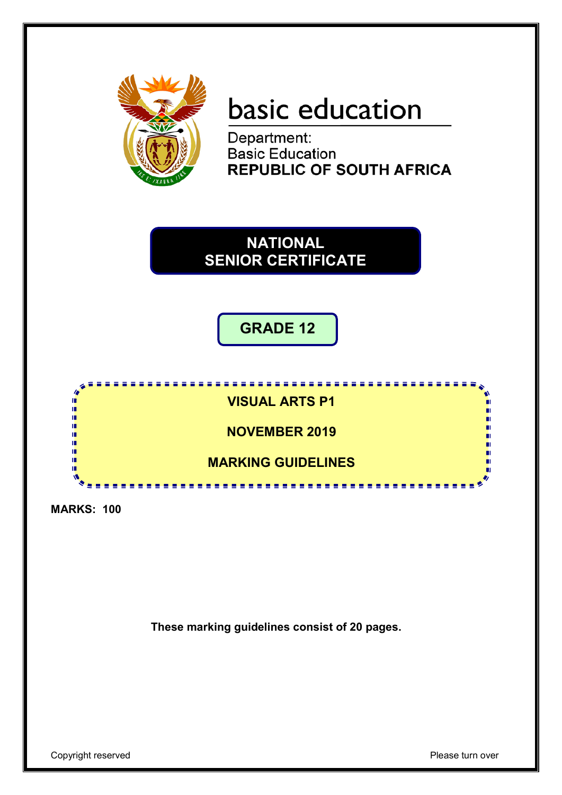

# basic education

Department: **Basic Education REPUBLIC OF SOUTH AFRICA** 



**GRADE 12**



**MARKS: 100**

**These marking guidelines consist of 20 pages.**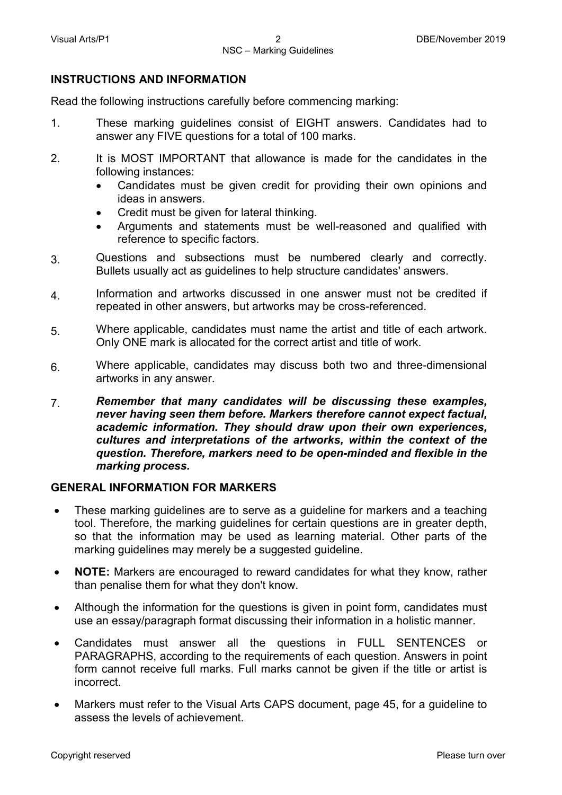#### **INSTRUCTIONS AND INFORMATION**

Read the following instructions carefully before commencing marking:

- 1. These marking guidelines consist of EIGHT answers. Candidates had to answer any FIVE questions for a total of 100 marks.
- 2. It is MOST IMPORTANT that allowance is made for the candidates in the following instances:
	- Candidates must be given credit for providing their own opinions and ideas in answers.
	- Credit must be given for lateral thinking.
	- Arguments and statements must be well-reasoned and qualified with reference to specific factors.
- 3. Questions and subsections must be numbered clearly and correctly. Bullets usually act as guidelines to help structure candidates' answers.
- 4. Information and artworks discussed in one answer must not be credited if repeated in other answers, but artworks may be cross-referenced.
- 5. Where applicable, candidates must name the artist and title of each artwork. Only ONE mark is allocated for the correct artist and title of work.
- 6. Where applicable, candidates may discuss both two and three-dimensional artworks in any answer.
- 7. *Remember that many candidates will be discussing these examples, never having seen them before. Markers therefore cannot expect factual, academic information. They should draw upon their own experiences, cultures and interpretations of the artworks, within the context of the question. Therefore, markers need to be open-minded and flexible in the marking process.*

#### **GENERAL INFORMATION FOR MARKERS**

- These marking guidelines are to serve as a guideline for markers and a teaching tool. Therefore, the marking guidelines for certain questions are in greater depth, so that the information may be used as learning material. Other parts of the marking guidelines may merely be a suggested guideline.
- **NOTE:** Markers are encouraged to reward candidates for what they know, rather than penalise them for what they don't know.
- Although the information for the questions is given in point form, candidates must use an essay/paragraph format discussing their information in a holistic manner.
- Candidates must answer all the questions in FULL SENTENCES or PARAGRAPHS, according to the requirements of each question. Answers in point form cannot receive full marks. Full marks cannot be given if the title or artist is incorrect.
- Markers must refer to the Visual Arts CAPS document, page 45, for a guideline to assess the levels of achievement.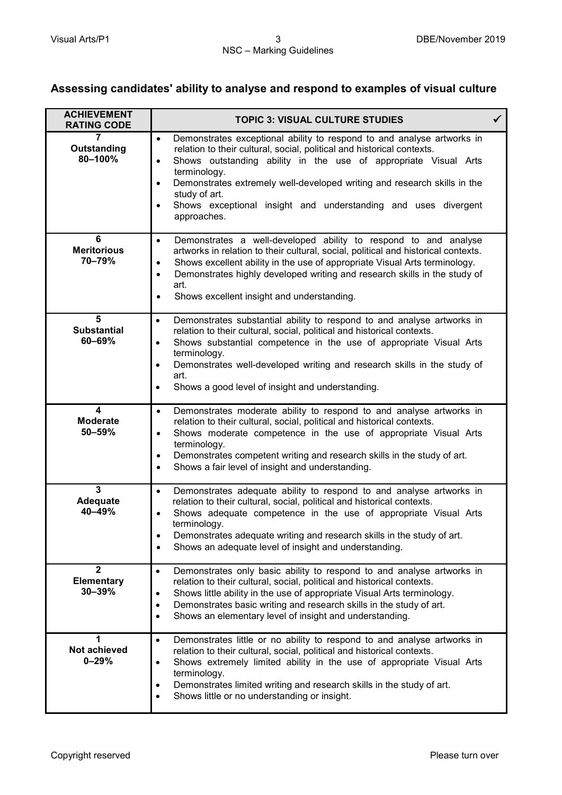# **Assessing candidates' ability to analyse and respond to examples of visual culture**

| <b>ACHIEVEMENT</b><br><b>RATING CODE</b>          | <b>TOPIC 3: VISUAL CULTURE STUDIES</b>                                                                                                                                                                                                                                                                                                                                                                                                                                |  |
|---------------------------------------------------|-----------------------------------------------------------------------------------------------------------------------------------------------------------------------------------------------------------------------------------------------------------------------------------------------------------------------------------------------------------------------------------------------------------------------------------------------------------------------|--|
| 7<br>Outstanding<br>80-100%                       | Demonstrates exceptional ability to respond to and analyse artworks in<br>$\bullet$<br>relation to their cultural, social, political and historical contexts.<br>Shows outstanding ability in the use of appropriate Visual Arts<br>$\bullet$<br>terminology.<br>Demonstrates extremely well-developed writing and research skills in the<br>$\bullet$<br>study of art.<br>Shows exceptional insight and understanding and uses divergent<br>$\bullet$<br>approaches. |  |
| 6<br><b>Meritorious</b><br>70-79%                 | Demonstrates a well-developed ability to respond to and analyse<br>$\bullet$<br>artworks in relation to their cultural, social, political and historical contexts.<br>Shows excellent ability in the use of appropriate Visual Arts terminology.<br>$\bullet$<br>Demonstrates highly developed writing and research skills in the study of<br>$\bullet$<br>art.<br>Shows excellent insight and understanding.<br>$\bullet$                                            |  |
| 5<br><b>Substantial</b><br>$60 - 69%$             | Demonstrates substantial ability to respond to and analyse artworks in<br>$\bullet$<br>relation to their cultural, social, political and historical contexts.<br>Shows substantial competence in the use of appropriate Visual Arts<br>$\bullet$<br>terminology.<br>Demonstrates well-developed writing and research skills in the study of<br>$\bullet$<br>art.<br>Shows a good level of insight and understanding.<br>$\bullet$                                     |  |
| 4<br><b>Moderate</b><br>$50 - 59%$                | Demonstrates moderate ability to respond to and analyse artworks in<br>$\bullet$<br>relation to their cultural, social, political and historical contexts.<br>Shows moderate competence in the use of appropriate Visual Arts<br>$\bullet$<br>terminology.<br>Demonstrates competent writing and research skills in the study of art.<br>$\bullet$<br>Shows a fair level of insight and understanding.<br>$\bullet$                                                   |  |
| $\overline{3}$<br><b>Adequate</b><br>$40 - 49%$   | Demonstrates adequate ability to respond to and analyse artworks in<br>$\bullet$<br>relation to their cultural, social, political and historical contexts.<br>Shows adequate competence in the use of appropriate Visual Arts<br>$\bullet$<br>terminology.<br>Demonstrates adequate writing and research skills in the study of art.<br>$\bullet$<br>Shows an adequate level of insight and understanding.<br>$\bullet$                                               |  |
| $\overline{2}$<br><b>Elementary</b><br>$30 - 39%$ | Demonstrates only basic ability to respond to and analyse artworks in<br>$\bullet$<br>relation to their cultural, social, political and historical contexts.<br>Shows little ability in the use of appropriate Visual Arts terminology.<br>$\bullet$<br>Demonstrates basic writing and research skills in the study of art.<br>$\bullet$<br>Shows an elementary level of insight and understanding.<br>$\bullet$                                                      |  |
| 1<br>Not achieved<br>$0 - 29%$                    | Demonstrates little or no ability to respond to and analyse artworks in<br>$\bullet$<br>relation to their cultural, social, political and historical contexts.<br>Shows extremely limited ability in the use of appropriate Visual Arts<br>$\bullet$<br>terminology.<br>Demonstrates limited writing and research skills in the study of art.<br>$\bullet$<br>Shows little or no understanding or insight.<br>$\bullet$                                               |  |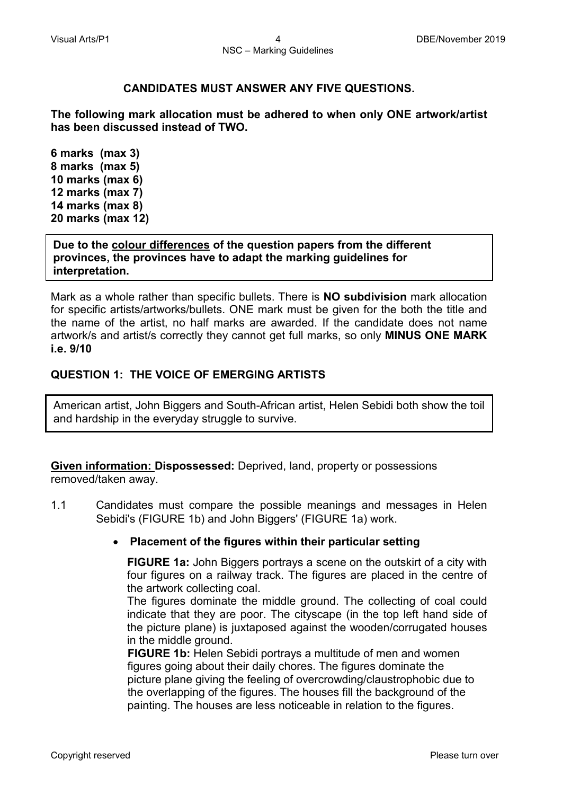#### **CANDIDATES MUST ANSWER ANY FIVE QUESTIONS.**

**The following mark allocation must be adhered to when only ONE artwork/artist has been discussed instead of TWO.**

**6 marks (max 3) 8 marks (max 5) 10 marks (max 6) 12 marks (max 7) 14 marks (max 8) 20 marks (max 12)**

**Due to the colour differences of the question papers from the different provinces, the provinces have to adapt the marking guidelines for interpretation.** 

Mark as a whole rather than specific bullets. There is **NO subdivision** mark allocation for specific artists/artworks/bullets. ONE mark must be given for the both the title and the name of the artist, no half marks are awarded. If the candidate does not name artwork/s and artist/s correctly they cannot get full marks, so only **MINUS ONE MARK i.e. 9/10**

# **QUESTION 1: THE VOICE OF EMERGING ARTISTS**

American artist, John Biggers and South-African artist, Helen Sebidi both show the toil and hardship in the everyday struggle to survive.

**Given information: Dispossessed:** Deprived, land, property or possessions removed/taken away.

1.1 Candidates must compare the possible meanings and messages in Helen Sebidi's (FIGURE 1b) and John Biggers' (FIGURE 1a) work.

#### • **Placement of the figures within their particular setting**

**FIGURE 1a:** John Biggers portrays a scene on the outskirt of a city with four figures on a railway track. The figures are placed in the centre of the artwork collecting coal.

The figures dominate the middle ground. The collecting of coal could indicate that they are poor. The cityscape (in the top left hand side of the picture plane) is juxtaposed against the wooden/corrugated houses in the middle ground.

 **FIGURE 1b:** Helen Sebidi portrays a multitude of men and women figures going about their daily chores. The figures dominate the picture plane giving the feeling of overcrowding/claustrophobic due to the overlapping of the figures. The houses fill the background of the painting. The houses are less noticeable in relation to the figures.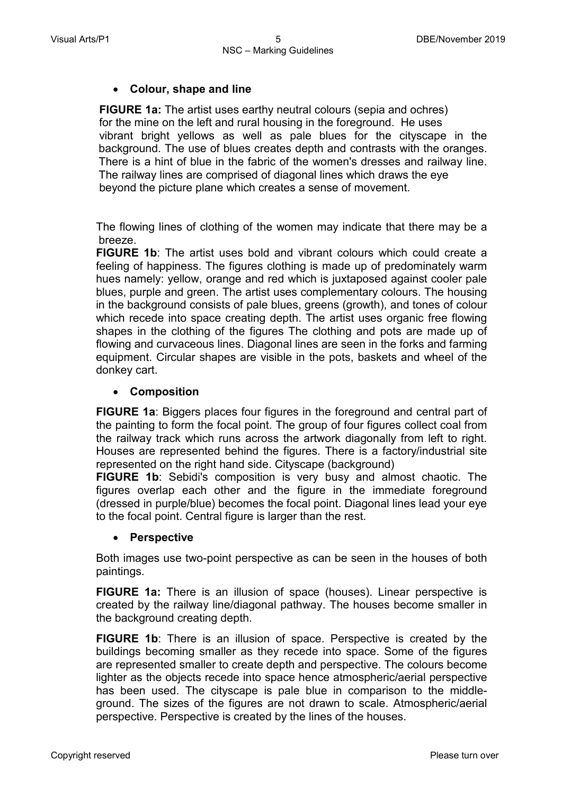# • **Colour, shape and line**

**FIGURE 1a:** The artist uses earthy neutral colours (sepia and ochres) for the mine on the left and rural housing in the foreground. He uses vibrant bright yellows as well as pale blues for the cityscape in the background. The use of blues creates depth and contrasts with the oranges. There is a hint of blue in the fabric of the women's dresses and railway line. The railway lines are comprised of diagonal lines which draws the eye beyond the picture plane which creates a sense of movement.

The flowing lines of clothing of the women may indicate that there may be a breeze.

**FIGURE 1b**: The artist uses bold and vibrant colours which could create a feeling of happiness. The figures clothing is made up of predominately warm hues namely: yellow, orange and red which is juxtaposed against cooler pale blues, purple and green. The artist uses complementary colours. The housing in the background consists of pale blues, greens (growth), and tones of colour which recede into space creating depth. The artist uses organic free flowing shapes in the clothing of the figures The clothing and pots are made up of flowing and curvaceous lines. Diagonal lines are seen in the forks and farming equipment. Circular shapes are visible in the pots, baskets and wheel of the donkey cart.

#### • **Composition**

**FIGURE 1a**: Biggers places four figures in the foreground and central part of the painting to form the focal point. The group of four figures collect coal from the railway track which runs across the artwork diagonally from left to right. Houses are represented behind the figures. There is a factory/industrial site represented on the right hand side. Cityscape (background)

**FIGURE 1b**: Sebidi's composition is very busy and almost chaotic. The figures overlap each other and the figure in the immediate foreground (dressed in purple/blue) becomes the focal point. Diagonal lines lead your eye to the focal point. Central figure is larger than the rest.

#### • **Perspective**

Both images use two-point perspective as can be seen in the houses of both paintings.

**FIGURE 1a:** There is an illusion of space (houses). Linear perspective is created by the railway line/diagonal pathway. The houses become smaller in the background creating depth.

**FIGURE 1b**: There is an illusion of space. Perspective is created by the buildings becoming smaller as they recede into space. Some of the figures are represented smaller to create depth and perspective. The colours become lighter as the objects recede into space hence atmospheric/aerial perspective has been used. The cityscape is pale blue in comparison to the middleground. The sizes of the figures are not drawn to scale. Atmospheric/aerial perspective. Perspective is created by the lines of the houses.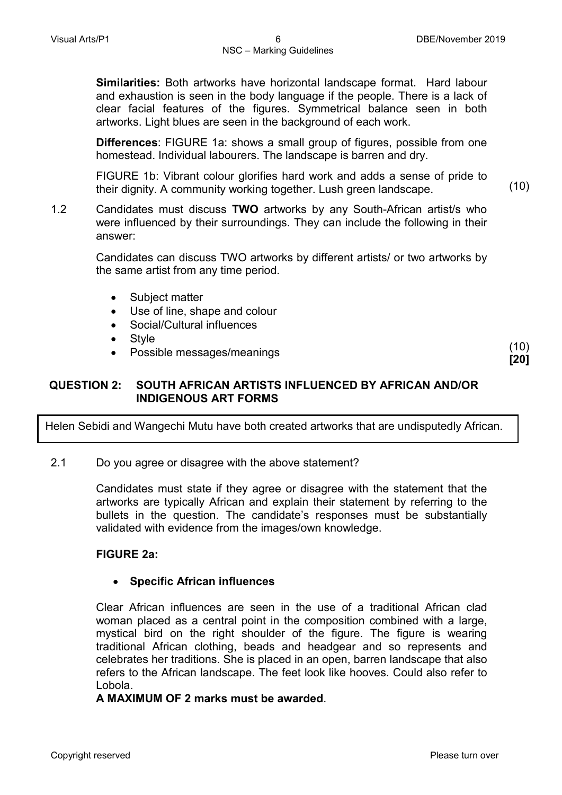**Similarities:** Both artworks have horizontal landscape format. Hard labour and exhaustion is seen in the body language if the people. There is a lack of clear facial features of the figures. Symmetrical balance seen in both artworks. Light blues are seen in the background of each work.

**Differences**: FIGURE 1a: shows a small group of figures, possible from one homestead. Individual labourers. The landscape is barren and dry.

FIGURE 1b: Vibrant colour glorifies hard work and adds a sense of pride to their dignity. A community working together. Lush green landscape. (10)

1.2 Candidates must discuss **TWO** artworks by any South-African artist/s who were influenced by their surroundings. They can include the following in their answer:

> Candidates can discuss TWO artworks by different artists/ or two artworks by the same artist from any time period.

- Subject matter
- Use of line, shape and colour
- Social/Cultural influences
- Style
- Possible messages/meanings (10)

**[20]**

# **QUESTION 2: SOUTH AFRICAN ARTISTS INFLUENCED BY AFRICAN AND/OR INDIGENOUS ART FORMS**

Helen Sebidi and Wangechi Mutu have both created artworks that are undisputedly African.

2.1 Do you agree or disagree with the above statement?

Candidates must state if they agree or disagree with the statement that the artworks are typically African and explain their statement by referring to the bullets in the question. The candidate's responses must be substantially validated with evidence from the images/own knowledge.

#### **FIGURE 2a:**

#### • **Specific African influences**

Clear African influences are seen in the use of a traditional African clad woman placed as a central point in the composition combined with a large, mystical bird on the right shoulder of the figure. The figure is wearing traditional African clothing, beads and headgear and so represents and celebrates her traditions. She is placed in an open, barren landscape that also refers to the African landscape. The feet look like hooves. Could also refer to Lobola.

#### **A MAXIMUM OF 2 marks must be awarded**.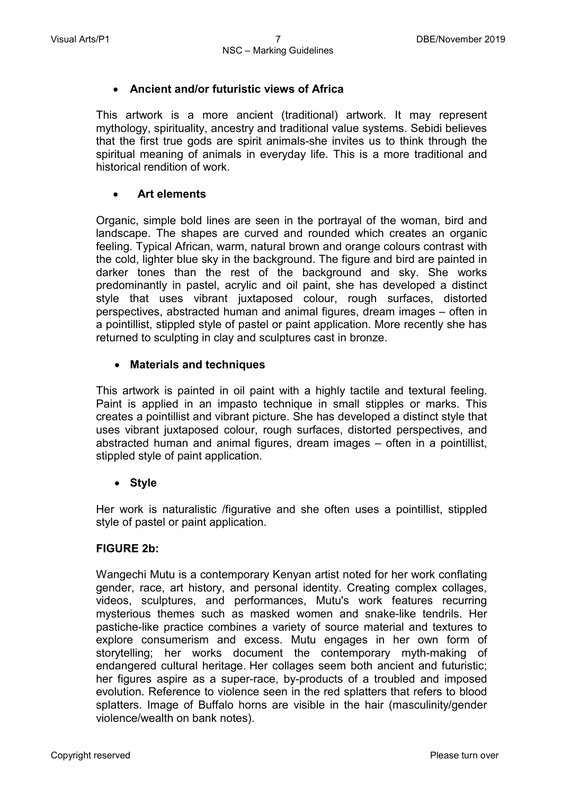# • **Ancient and/or futuristic views of Africa**

This artwork is a more ancient (traditional) artwork. It may represent mythology, spirituality, ancestry and traditional value systems. Sebidi believes that the first true gods are spirit animals-she invites us to think through the spiritual meaning of animals in everyday life. This is a more traditional and historical rendition of work.

#### • **Art elements**

Organic, simple bold lines are seen in the portrayal of the woman, bird and landscape. The shapes are curved and rounded which creates an organic feeling. Typical African, warm, natural brown and orange colours contrast with the cold, lighter blue sky in the background. The figure and bird are painted in darker tones than the rest of the background and sky. She works predominantly in pastel, acrylic and oil paint, she has developed a distinct style that uses vibrant juxtaposed colour, rough surfaces, distorted perspectives, abstracted human and animal figures, dream images – often in a pointillist, stippled style of pastel or paint application. More recently she has returned to sculpting in clay and sculptures cast in bronze.

# • **Materials and techniques**

This artwork is painted in oil paint with a highly tactile and textural feeling. Paint is applied in an impasto technique in small stipples or marks. This creates a pointillist and vibrant picture. She has developed a distinct style that uses vibrant juxtaposed colour, rough surfaces, distorted perspectives, and abstracted human and animal figures, dream images – often in a pointillist, stippled style of paint application.

# • **Style**

Her work is naturalistic /figurative and she often uses a pointillist, stippled style of pastel or paint application.

#### **FIGURE 2b:**

Wangechi Mutu is a contemporary Kenyan artist noted for her work conflating gender, race, art history, and personal identity. Creating complex collages, videos, sculptures, and performances, Mutu's work features recurring mysterious themes such as masked women and snake-like tendrils. Her pastiche-like practice combines a variety of source material and textures to explore consumerism and excess. Mutu engages in her own form of storytelling; her works document the contemporary myth-making of endangered cultural heritage. Her collages seem both ancient and futuristic; her figures aspire as a super-race, by-products of a troubled and imposed evolution. Reference to violence seen in the red splatters that refers to blood splatters. Image of Buffalo horns are visible in the hair (masculinity/gender violence/wealth on bank notes).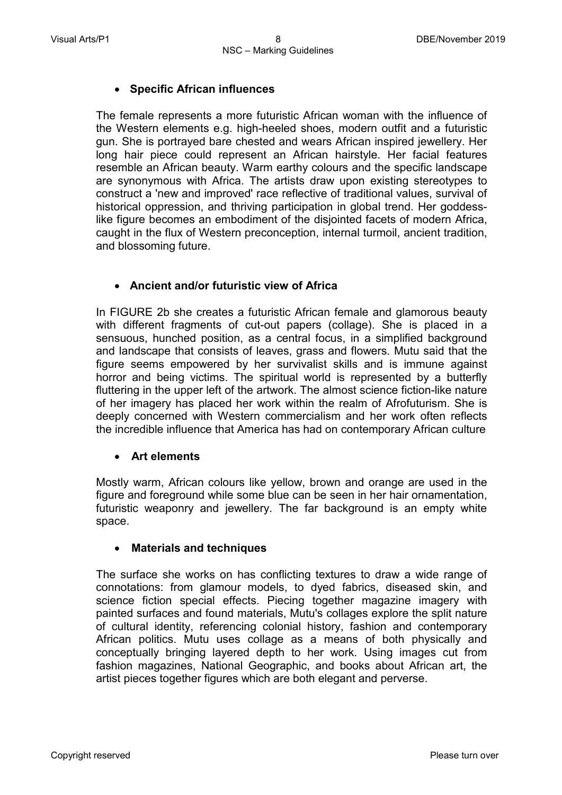# • **Specific African influences**

The female represents a more futuristic African woman with the influence of the Western elements e.g. high-heeled shoes, modern outfit and a futuristic gun. She is portrayed bare chested and wears African inspired jewellery. Her long hair piece could represent an African hairstyle. Her facial features resemble an African beauty. Warm earthy colours and the specific landscape are synonymous with Africa. The artists draw upon existing stereotypes to construct a 'new and improved' race reflective of traditional values, survival of historical oppression, and thriving participation in global trend. Her goddesslike figure becomes an embodiment of the disjointed facets of modern Africa, caught in the flux of Western preconception, internal turmoil, ancient tradition, and blossoming future.

# • **Ancient and/or futuristic view of Africa**

In FIGURE 2b she creates a futuristic African female and glamorous beauty with different fragments of cut-out papers (collage). She is placed in a sensuous, hunched position, as a central focus, in a simplified background and landscape that consists of leaves, grass and flowers. Mutu said that the figure seems empowered by her survivalist skills and is immune against horror and being victims. The spiritual world is represented by a butterfly fluttering in the upper left of the artwork. The almost science fiction-like nature of her imagery has placed her work within the realm of Afrofuturism. She is deeply concerned with Western commercialism and her work often reflects the incredible influence that America has had on contemporary African culture

#### • **Art elements**

Mostly warm, African colours like yellow, brown and orange are used in the figure and foreground while some blue can be seen in her hair ornamentation, futuristic weaponry and jewellery. The far background is an empty white space.

#### • **Materials and techniques**

The surface she works on has conflicting textures to draw a wide range of connotations: from glamour models, to dyed fabrics, diseased skin, and science fiction special effects. Piecing together magazine imagery with painted surfaces and found materials, Mutu's collages explore the split nature of cultural identity, referencing colonial history, fashion and contemporary African politics. Mutu uses collage as a means of both physically and conceptually bringing layered depth to her work. Using images cut from fashion magazines, National Geographic, and books about African art, the artist pieces together figures which are both elegant and perverse.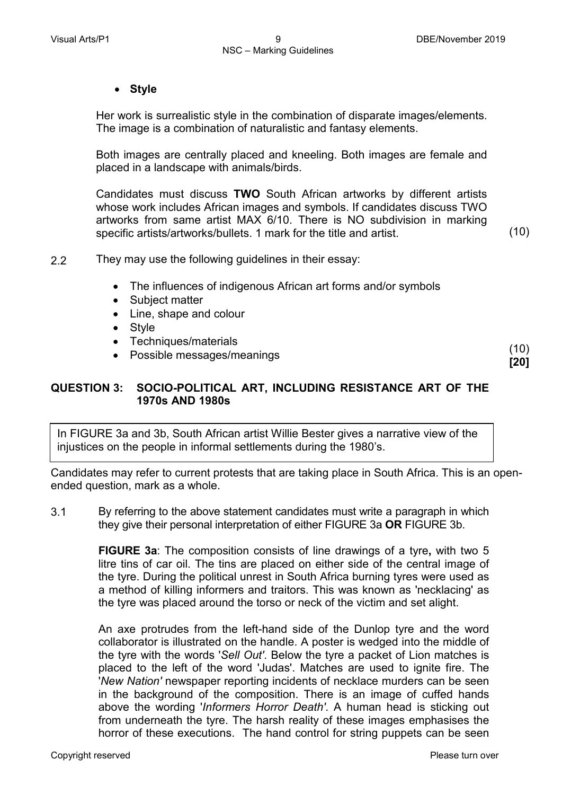#### • **Style**

Her work is surrealistic style in the combination of disparate images/elements. The image is a combination of naturalistic and fantasy elements.

Both images are centrally placed and kneeling. Both images are female and placed in a landscape with animals/birds.

Candidates must discuss **TWO** South African artworks by different artists whose work includes African images and symbols. If candidates discuss TWO artworks from same artist MAX 6/10. There is NO subdivision in marking specific artists/artworks/bullets. 1 mark for the title and artist.

(10)

(10) **[20]**

2.2 They may use the following guidelines in their essay:

- The influences of indigenous African art forms and/or symbols
- Subject matter
- Line, shape and colour
- Style
- Techniques/materials
	- Possible messages/meanings

# **QUESTION 3: SOCIO-POLITICAL ART, INCLUDING RESISTANCE ART OF THE 1970s AND 1980s**

In FIGURE 3a and 3b, South African artist Willie Bester gives a narrative view of the injustices on the people in informal settlements during the 1980's.

Candidates may refer to current protests that are taking place in South Africa. This is an openended question, mark as a whole.

3.1 By referring to the above statement candidates must write a paragraph in which they give their personal interpretation of either FIGURE 3a **OR** FIGURE 3b.

> **FIGURE 3a**: The composition consists of line drawings of a tyre**,** with two 5 litre tins of car oil. The tins are placed on either side of the central image of the tyre. During the political unrest in South Africa burning tyres were used as a method of killing informers and traitors. This was known as 'necklacing' as the tyre was placed around the torso or neck of the victim and set alight.

> An axe protrudes from the left-hand side of the Dunlop tyre and the word collaborator is illustrated on the handle. A poster is wedged into the middle of the tyre with the words '*Sell Out'*. Below the tyre a packet of Lion matches is placed to the left of the word 'Judas'. Matches are used to ignite fire. The '*New Nation'* newspaper reporting incidents of necklace murders can be seen in the background of the composition. There is an image of cuffed hands above the wording '*Informers Horror Death'*. A human head is sticking out from underneath the tyre. The harsh reality of these images emphasises the horror of these executions. The hand control for string puppets can be seen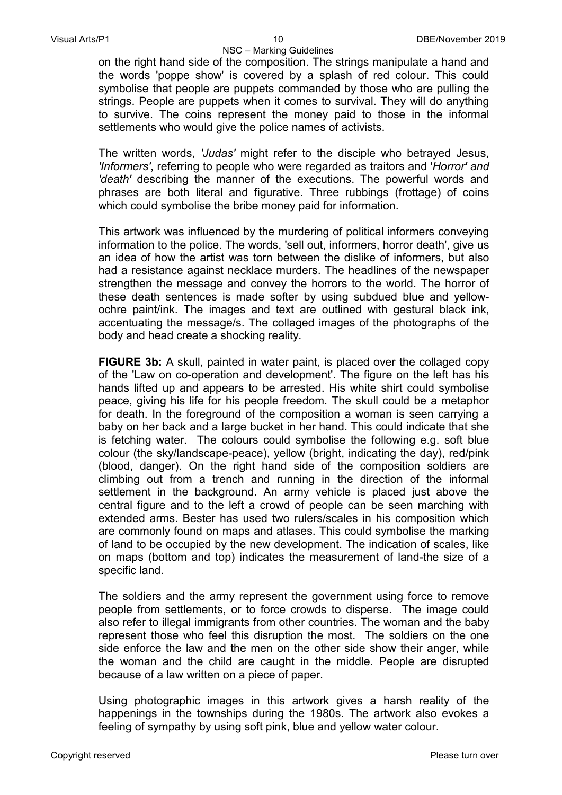NSC – Marking Guidelines on the right hand side of the composition. The strings manipulate a hand and the words 'poppe show' is covered by a splash of red colour. This could symbolise that people are puppets commanded by those who are pulling the strings. People are puppets when it comes to survival. They will do anything to survive. The coins represent the money paid to those in the informal settlements who would give the police names of activists.

The written words, *'Judas'* might refer to the disciple who betrayed Jesus, *'Informers'*, referring to people who were regarded as traitors and '*Horror' and 'death'* describing the manner of the executions. The powerful words and phrases are both literal and figurative. Three rubbings (frottage) of coins which could symbolise the bribe money paid for information.

This artwork was influenced by the murdering of political informers conveying information to the police. The words, 'sell out, informers, horror death', give us an idea of how the artist was torn between the dislike of informers, but also had a resistance against necklace murders. The headlines of the newspaper strengthen the message and convey the horrors to the world. The horror of these death sentences is made softer by using subdued blue and yellowochre paint/ink. The images and text are outlined with gestural black ink, accentuating the message/s. The collaged images of the photographs of the body and head create a shocking reality.

**FIGURE 3b:** A skull, painted in water paint, is placed over the collaged copy of the 'Law on co-operation and development'. The figure on the left has his hands lifted up and appears to be arrested. His white shirt could symbolise peace, giving his life for his people freedom. The skull could be a metaphor for death. In the foreground of the composition a woman is seen carrying a baby on her back and a large bucket in her hand. This could indicate that she is fetching water. The colours could symbolise the following e.g. soft blue colour (the sky/landscape-peace), yellow (bright, indicating the day), red/pink (blood, danger). On the right hand side of the composition soldiers are climbing out from a trench and running in the direction of the informal settlement in the background. An army vehicle is placed just above the central figure and to the left a crowd of people can be seen marching with extended arms. Bester has used two rulers/scales in his composition which are commonly found on maps and atlases. This could symbolise the marking of land to be occupied by the new development. The indication of scales, like on maps (bottom and top) indicates the measurement of land-the size of a specific land.

The soldiers and the army represent the government using force to remove people from settlements, or to force crowds to disperse. The image could also refer to illegal immigrants from other countries. The woman and the baby represent those who feel this disruption the most. The soldiers on the one side enforce the law and the men on the other side show their anger, while the woman and the child are caught in the middle. People are disrupted because of a law written on a piece of paper.

Using photographic images in this artwork gives a harsh reality of the happenings in the townships during the 1980s. The artwork also evokes a feeling of sympathy by using soft pink, blue and yellow water colour.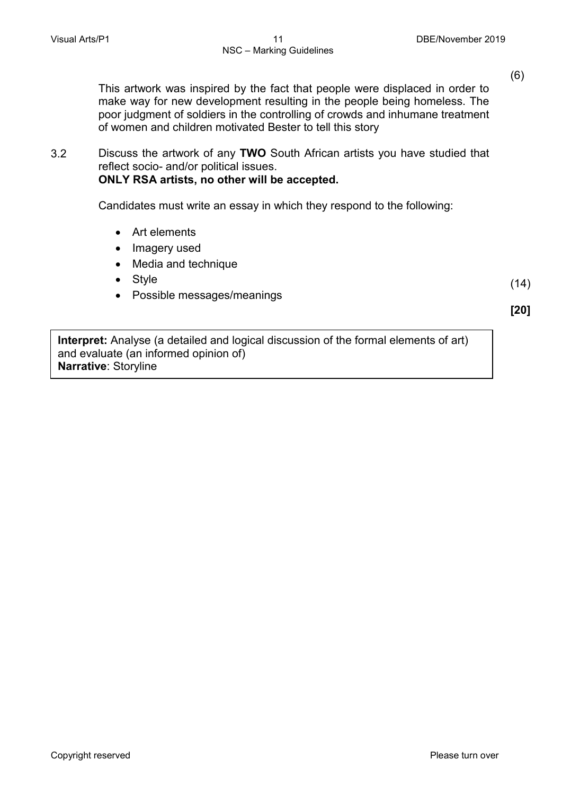(6)

This artwork was inspired by the fact that people were displaced in order to make way for new development resulting in the people being homeless. The poor judgment of soldiers in the controlling of crowds and inhumane treatment of women and children motivated Bester to tell this story

3.2 Discuss the artwork of any **TWO** South African artists you have studied that reflect socio- and/or political issues. **ONLY RSA artists, no other will be accepted.**

Candidates must write an essay in which they respond to the following:

- Art elements
- Imagery used
- Media and technique
- Style
- Possible messages/meanings

 $(14)$ **[20]**

**Interpret:** Analyse (a detailed and logical discussion of the formal elements of art) and evaluate (an informed opinion of) **Narrative**: Storyline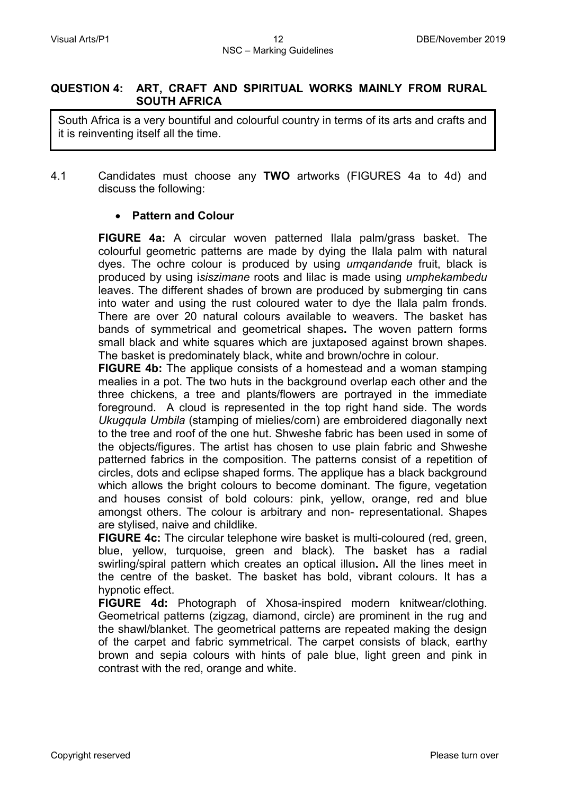#### **QUESTION 4: ART, CRAFT AND SPIRITUAL WORKS MAINLY FROM RURAL SOUTH AFRICA**

South Africa is a very bountiful and colourful country in terms of its arts and crafts and it is reinventing itself all the time.

4.1 Candidates must choose any **TWO** artworks (FIGURES 4a to 4d) and discuss the following:

# • **Pattern and Colour**

**FIGURE 4a:** A circular woven patterned Ilala palm/grass basket. The colourful geometric patterns are made by dying the Ilala palm with natural dyes. The ochre colour is produced by using *umqandande* fruit, black is produced by using i*siszimane* roots and lilac is made using *umphekambedu* leaves. The different shades of brown are produced by submerging tin cans into water and using the rust coloured water to dye the Ilala palm fronds. There are over 20 natural colours available to weavers. The basket has bands of symmetrical and geometrical shapes**.** The woven pattern forms small black and white squares which are juxtaposed against brown shapes. The basket is predominately black, white and brown/ochre in colour.

**FIGURE 4b:** The applique consists of a homestead and a woman stamping mealies in a pot. The two huts in the background overlap each other and the three chickens, a tree and plants/flowers are portrayed in the immediate foreground. A cloud is represented in the top right hand side. The words *Ukugqula Umbila* (stamping of mielies/corn) are embroidered diagonally next to the tree and roof of the one hut. Shweshe fabric has been used in some of the objects/figures. The artist has chosen to use plain fabric and Shweshe patterned fabrics in the composition. The patterns consist of a repetition of circles, dots and eclipse shaped forms. The applique has a black background which allows the bright colours to become dominant. The figure, vegetation and houses consist of bold colours: pink, yellow, orange, red and blue amongst others. The colour is arbitrary and non- representational. Shapes are stylised, naive and childlike.

**FIGURE 4c:** The circular telephone wire basket is multi-coloured (red, green, blue, yellow, turquoise, green and black). The basket has a radial swirling/spiral pattern which creates an optical illusion**.** All the lines meet in the centre of the basket. The basket has bold, vibrant colours. It has a hypnotic effect.

**FIGURE 4d:** Photograph of Xhosa-inspired modern knitwear/clothing. Geometrical patterns (zigzag, diamond, circle) are prominent in the rug and the shawl/blanket. The geometrical patterns are repeated making the design of the carpet and fabric symmetrical. The carpet consists of black, earthy brown and sepia colours with hints of pale blue, light green and pink in contrast with the red, orange and white.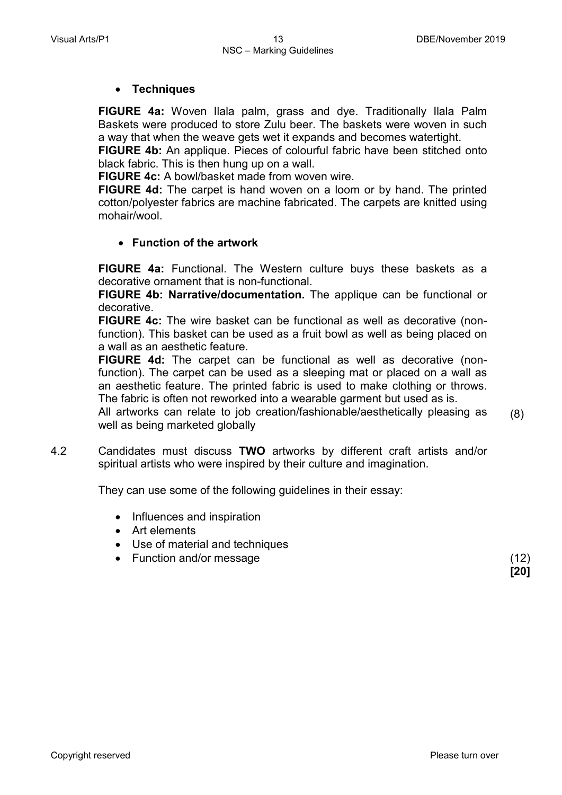#### • **Techniques**

**FIGURE 4a:** Woven Ilala palm, grass and dye. Traditionally Ilala Palm Baskets were produced to store Zulu beer. The baskets were woven in such a way that when the weave gets wet it expands and becomes watertight.

**FIGURE 4b:** An applique. Pieces of colourful fabric have been stitched onto black fabric. This is then hung up on a wall.

**FIGURE 4c:** A bowl/basket made from woven wire.

**FIGURE 4d:** The carpet is hand woven on a loom or by hand. The printed cotton/polyester fabrics are machine fabricated. The carpets are knitted using mohair/wool.

# • **Function of the artwork**

**FIGURE 4a:** Functional. The Western culture buys these baskets as a decorative ornament that is non-functional.

**FIGURE 4b: Narrative/documentation.** The applique can be functional or decorative.

**FIGURE 4c:** The wire basket can be functional as well as decorative (nonfunction). This basket can be used as a fruit bowl as well as being placed on a wall as an aesthetic feature.

**FIGURE 4d:** The carpet can be functional as well as decorative (nonfunction). The carpet can be used as a sleeping mat or placed on a wall as an aesthetic feature. The printed fabric is used to make clothing or throws. The fabric is often not reworked into a wearable garment but used as is.

All artworks can relate to job creation/fashionable/aesthetically pleasing as well as being marketed globally (8)

4.2 Candidates must discuss **TWO** artworks by different craft artists and/or spiritual artists who were inspired by their culture and imagination.

They can use some of the following guidelines in their essay:

- Influences and inspiration
- Art elements
- Use of material and techniques
- Function and/or message (12)

**[20]**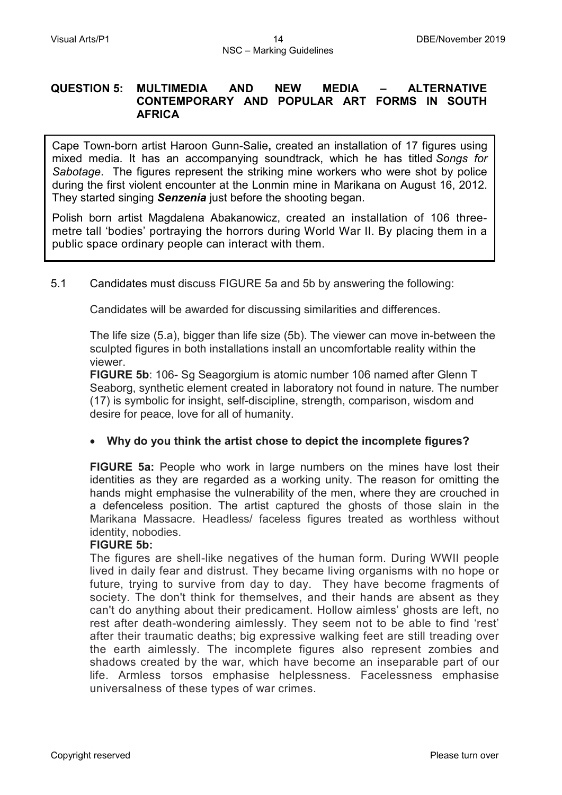#### **QUESTION 5: MULTIMEDIA AND NEW MEDIA – ALTERNATIVE CONTEMPORARY AND POPULAR ART FORMS IN SOUTH AFRICA**

Cape Town-born artist Haroon Gunn-Salie**,** created an installation of 17 figures using mixed media. It has an accompanying soundtrack, which he has titled *Songs for Sabotage*. The figures represent the striking mine workers who were shot by police during the first violent encounter at the Lonmin mine in Marikana on August 16, 2012. They started singing *Senzenia* just before the shooting began.

Polish born artist Magdalena Abakanowicz, created an installation of 106 threemetre tall 'bodies' portraying the horrors during World War II. By placing them in a public space ordinary people can interact with them.

# 5.1 Candidates must discuss FIGURE 5a and 5b by answering the following:

Candidates will be awarded for discussing similarities and differences.

The life size (5.a), bigger than life size (5b). The viewer can move in-between the sculpted figures in both installations install an uncomfortable reality within the viewer.

**FIGURE 5b**: 106- Sg Seagorgium is atomic number 106 named after Glenn T Seaborg, synthetic element created in laboratory not found in nature. The number (17) is symbolic for insight, self-discipline, strength, comparison, wisdom and desire for peace, love for all of humanity.

#### • **Why do you think the artist chose to depict the incomplete figures?**

**FIGURE 5a:** People who work in large numbers on the mines have lost their identities as they are regarded as a working unity. The reason for omitting the hands might emphasise the vulnerability of the men, where they are crouched in a defenceless position. The artist captured the ghosts of those slain in the Marikana Massacre. Headless/ faceless figures treated as worthless without identity, nobodies.

#### **FIGURE 5b:**

The figures are shell-like negatives of the human form. During WWII people lived in daily fear and distrust. They became living organisms with no hope or future, trying to survive from day to day. They have become fragments of society. The don't think for themselves, and their hands are absent as they can't do anything about their predicament. Hollow aimless' ghosts are left, no rest after death-wondering aimlessly. They seem not to be able to find 'rest' after their traumatic deaths; big expressive walking feet are still treading over the earth aimlessly. The incomplete figures also represent zombies and shadows created by the war, which have become an inseparable part of our life. Armless torsos emphasise helplessness. Facelessness emphasise universalness of these types of war crimes.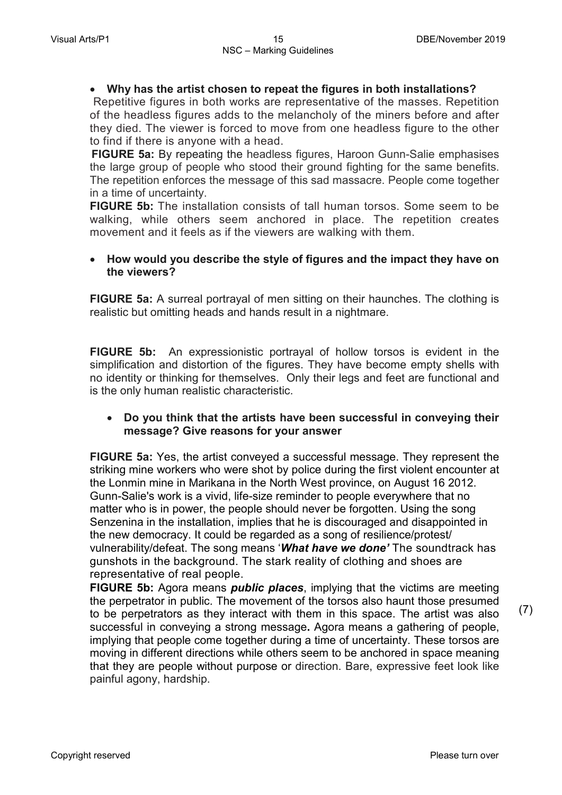#### • **Why has the artist chosen to repeat the figures in both installations?**

Repetitive figures in both works are representative of the masses. Repetition of the headless figures adds to the melancholy of the miners before and after they died. The viewer is forced to move from one headless figure to the other to find if there is anyone with a head.

 **FIGURE 5a:** By repeating the headless figures, Haroon Gunn-Salie emphasises the large group of people who stood their ground fighting for the same benefits. The repetition enforces the message of this sad massacre. People come together in a time of uncertainty.

**FIGURE 5b:** The installation consists of tall human torsos. Some seem to be walking, while others seem anchored in place. The repetition creates movement and it feels as if the viewers are walking with them.

#### • **How would you describe the style of figures and the impact they have on the viewers?**

**FIGURE 5a:** A surreal portrayal of men sitting on their haunches. The clothing is realistic but omitting heads and hands result in a nightmare.

**FIGURE 5b:** An expressionistic portrayal of hollow torsos is evident in the simplification and distortion of the figures. They have become empty shells with no identity or thinking for themselves. Only their legs and feet are functional and is the only human realistic characteristic.

#### • **Do you think that the artists have been successful in conveying their message? Give reasons for your answer**

**FIGURE 5a:** Yes, the artist conveyed a successful message. They represent the striking mine workers who were shot by police during the first violent encounter at the Lonmin mine in Marikana in the North West province, on August 16 2012. Gunn-Salie's work is a vivid, life-size reminder to people everywhere that no matter who is in power, the people should never be forgotten. Using the song Senzenina in the installation, implies that he is discouraged and disappointed in the new democracy. It could be regarded as a song of resilience/protest/ vulnerability/defeat. The song means '*What have we done'* The soundtrack has gunshots in the background. The stark reality of clothing and shoes are representative of real people.

**FIGURE 5b:** Agora means *public places*, implying that the victims are meeting the perpetrator in public. The movement of the torsos also haunt those presumed to be perpetrators as they interact with them in this space. The artist was also successful in conveying a strong message**.** Agora means a gathering of people, implying that people come together during a time of uncertainty. These torsos are moving in different directions while others seem to be anchored in space meaning that they are people without purpose or direction. Bare, expressive feet look like painful agony, hardship.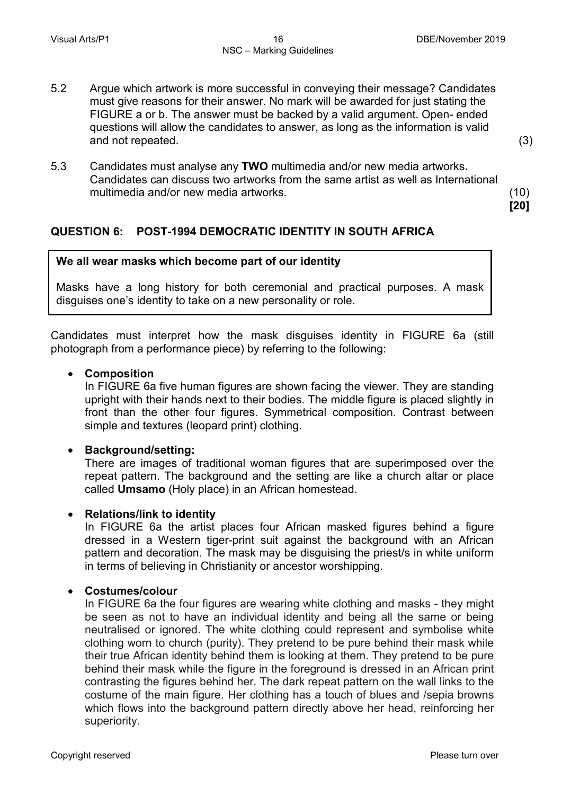(3)

**[20]**

- 5.2 Argue which artwork is more successful in conveying their message? Candidates must give reasons for their answer. No mark will be awarded for just stating the FIGURE a or b. The answer must be backed by a valid argument. Open- ended questions will allow the candidates to answer, as long as the information is valid and not repeated.
- 5.3 Candidates must analyse any **TWO** multimedia and/or new media artworks**.** Candidates can discuss two artworks from the same artist as well as International multimedia and/or new media artworks. (10)

# **QUESTION 6: POST-1994 DEMOCRATIC IDENTITY IN SOUTH AFRICA**

#### **We all wear masks which become part of our identity**

Masks have a long history for both ceremonial and practical purposes. A mask disguises one's identity to take on a new personality or role.

Candidates must interpret how the mask disguises identity in FIGURE 6a (still photograph from a performance piece) by referring to the following:

#### • **Composition**

In FIGURE 6a five human figures are shown facing the viewer. They are standing upright with their hands next to their bodies. The middle figure is placed slightly in front than the other four figures. Symmetrical composition. Contrast between simple and textures (leopard print) clothing.

#### • **Background/setting:**

There are images of traditional woman figures that are superimposed over the repeat pattern. The background and the setting are like a church altar or place called **Umsamo** (Holy place) in an African homestead.

#### • **Relations/link to identity**

In FIGURE 6a the artist places four African masked figures behind a figure dressed in a Western tiger-print suit against the background with an African pattern and decoration. The mask may be disguising the priest/s in white uniform in terms of believing in Christianity or ancestor worshipping.

#### • **Costumes/colour**

In FIGURE 6a the four figures are wearing white clothing and masks - they might be seen as not to have an individual identity and being all the same or being neutralised or ignored. The white clothing could represent and symbolise white clothing worn to church (purity). They pretend to be pure behind their mask while their true African identity behind them is looking at them. They pretend to be pure behind their mask while the figure in the foreground is dressed in an African print contrasting the figures behind her. The dark repeat pattern on the wall links to the costume of the main figure. Her clothing has a touch of blues and /sepia browns which flows into the background pattern directly above her head, reinforcing her superiority.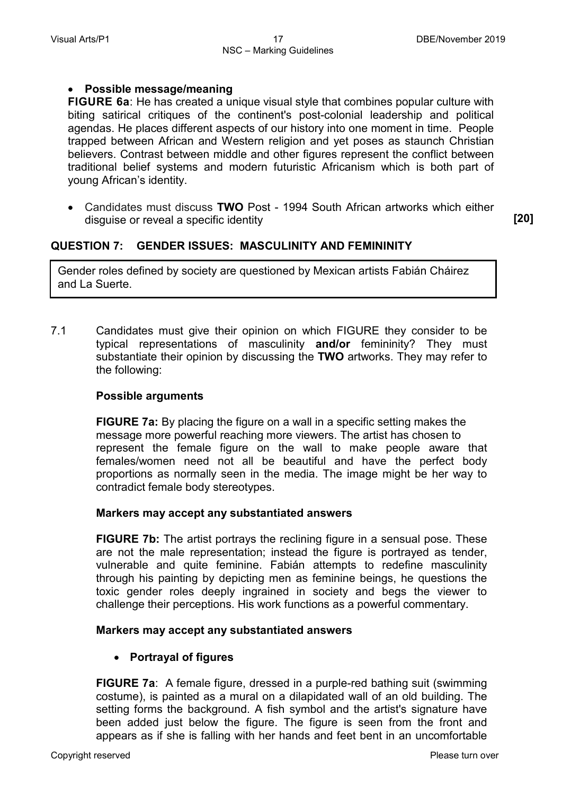#### • **Possible message/meaning**

**FIGURE 6a**: He has created a unique visual style that combines popular culture with biting satirical critiques of the continent's post-colonial leadership and political agendas. He places different aspects of our history into one moment in time. People trapped between African and Western religion and yet poses as staunch Christian believers. Contrast between middle and other figures represent the conflict between traditional belief systems and modern futuristic Africanism which is both part of young African's identity.

• Candidates must discuss **TWO** Post - 1994 South African artworks which either disguise or reveal a specific identity **[20]**

# **QUESTION 7: GENDER ISSUES: MASCULINITY AND FEMININITY**

Gender roles defined by society are questioned by Mexican artists Fabián Cháirez and La Suerte.

7.1 Candidates must give their opinion on which FIGURE they consider to be typical representations of masculinity **and/or** femininity? They must substantiate their opinion by discussing the **TWO** artworks. They may refer to the following:

#### **Possible arguments**

**FIGURE 7a:** By placing the figure on a wall in a specific setting makes the message more powerful reaching more viewers. The artist has chosen to represent the female figure on the wall to make people aware that females/women need not all be beautiful and have the perfect body proportions as normally seen in the media. The image might be her way to contradict female body stereotypes.

#### **Markers may accept any substantiated answers**

**FIGURE 7b:** The artist portrays the reclining figure in a sensual pose. These are not the male representation; instead the figure is portrayed as tender, vulnerable and quite feminine. Fabián attempts to redefine masculinity through his painting by depicting men as feminine beings, he questions the toxic gender roles deeply ingrained in society and begs the viewer to challenge their perceptions. His work functions as a powerful commentary.

#### **Markers may accept any substantiated answers**

• **Portrayal of figures**

**FIGURE 7a:** A female figure, dressed in a purple-red bathing suit (swimming costume), is painted as a mural on a dilapidated wall of an old building. The setting forms the background. A fish symbol and the artist's signature have been added just below the figure. The figure is seen from the front and appears as if she is falling with her hands and feet bent in an uncomfortable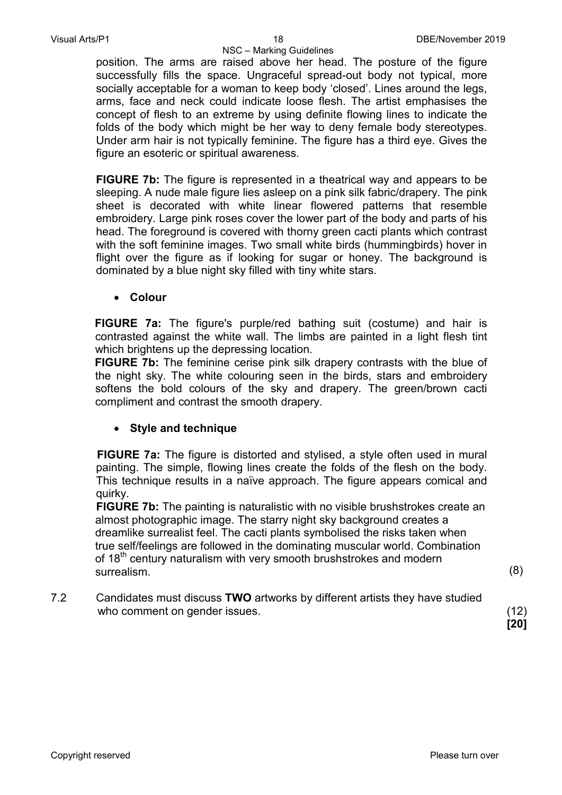NSC – Marking Guidelines position. The arms are raised above her head. The posture of the figure successfully fills the space. Ungraceful spread-out body not typical, more socially acceptable for a woman to keep body 'closed'. Lines around the legs, arms, face and neck could indicate loose flesh. The artist emphasises the concept of flesh to an extreme by using definite flowing lines to indicate the folds of the body which might be her way to deny female body stereotypes. Under arm hair is not typically feminine. The figure has a third eye. Gives the figure an esoteric or spiritual awareness.

**FIGURE 7b:** The figure is represented in a theatrical way and appears to be sleeping. A nude male figure lies asleep on a pink silk fabric/drapery. The pink sheet is decorated with white linear flowered patterns that resemble embroidery. Large pink roses cover the lower part of the body and parts of his head. The foreground is covered with thorny green cacti plants which contrast with the soft feminine images. Two small white birds (hummingbirds) hover in flight over the figure as if looking for sugar or honey. The background is dominated by a blue night sky filled with tiny white stars.

• **Colour**

**FIGURE 7a:** The figure's purple/red bathing suit (costume) and hair is contrasted against the white wall. The limbs are painted in a light flesh tint which brightens up the depressing location.

**FIGURE 7b:** The feminine cerise pink silk drapery contrasts with the blue of the night sky. The white colouring seen in the birds, stars and embroidery softens the bold colours of the sky and drapery. The green/brown cacti compliment and contrast the smooth drapery.

# • **Style and technique**

**FIGURE 7a:** The figure is distorted and stylised, a style often used in mural painting. The simple, flowing lines create the folds of the flesh on the body. This technique results in a naïve approach. The figure appears comical and quirky.

**FIGURE 7b:** The painting is naturalistic with no visible brushstrokes create an almost photographic image. The starry night sky background creates a dreamlike surrealist feel. The cacti plants symbolised the risks taken when true self/feelings are followed in the dominating muscular world. Combination of 18<sup>th</sup> century naturalism with very smooth brushstrokes and modern surrealism. (8)

7.2 Candidates must discuss **TWO** artworks by different artists they have studied who comment on gender issues. (12) (12)

 **[20]**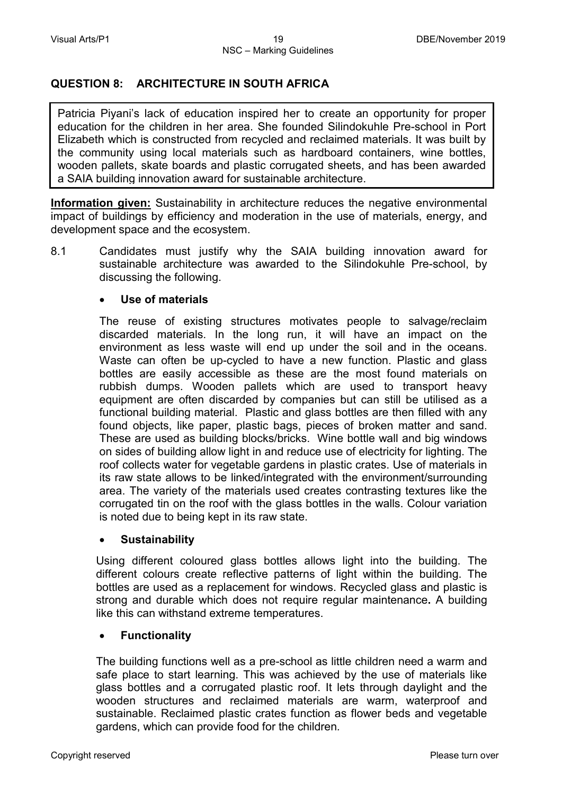# **QUESTION 8: ARCHITECTURE IN SOUTH AFRICA**

Patricia Piyani's lack of education inspired her to create an opportunity for proper education for the children in her area. She founded Silindokuhle Pre-school in Port Elizabeth which is constructed from recycled and reclaimed materials. It was built by the community using local materials such as hardboard containers, wine bottles, wooden pallets, skate boards and plastic corrugated sheets, and has been awarded a SAIA building innovation award for sustainable architecture.

**Information given:** Sustainability in architecture reduces the negative environmental impact of buildings by efficiency and moderation in the use of materials, energy, and development space and the ecosystem.

8.1 Candidates must justify why the SAIA building innovation award for sustainable architecture was awarded to the Silindokuhle Pre-school, by discussing the following.

#### • **Use of materials**

The reuse of existing structures motivates people to salvage/reclaim discarded materials. In the long run, it will have an impact on the environment as less waste will end up under the soil and in the oceans. Waste can often be up-cycled to have a new function. Plastic and glass bottles are easily accessible as these are the most found materials on rubbish dumps. Wooden pallets which are used to transport heavy equipment are often discarded by companies but can still be utilised as a functional building material. Plastic and glass bottles are then filled with any found objects, like paper, plastic bags, pieces of broken matter and sand. These are used as building blocks/bricks. Wine bottle wall and big windows on sides of building allow light in and reduce use of electricity for lighting. The roof collects water for vegetable gardens in plastic crates. Use of materials in its raw state allows to be linked/integrated with the environment/surrounding area. The variety of the materials used creates contrasting textures like the corrugated tin on the roof with the glass bottles in the walls. Colour variation is noted due to being kept in its raw state.

#### • **Sustainability**

Using different coloured glass bottles allows light into the building. The different colours create reflective patterns of light within the building. The bottles are used as a replacement for windows. Recycled glass and plastic is strong and durable which does not require regular maintenance**.** A building like this can withstand extreme temperatures.

#### • **Functionality**

The building functions well as a pre-school as little children need a warm and safe place to start learning. This was achieved by the use of materials like glass bottles and a corrugated plastic roof. It lets through daylight and the wooden structures and reclaimed materials are warm, waterproof and sustainable. Reclaimed plastic crates function as flower beds and vegetable gardens, which can provide food for the children*.*